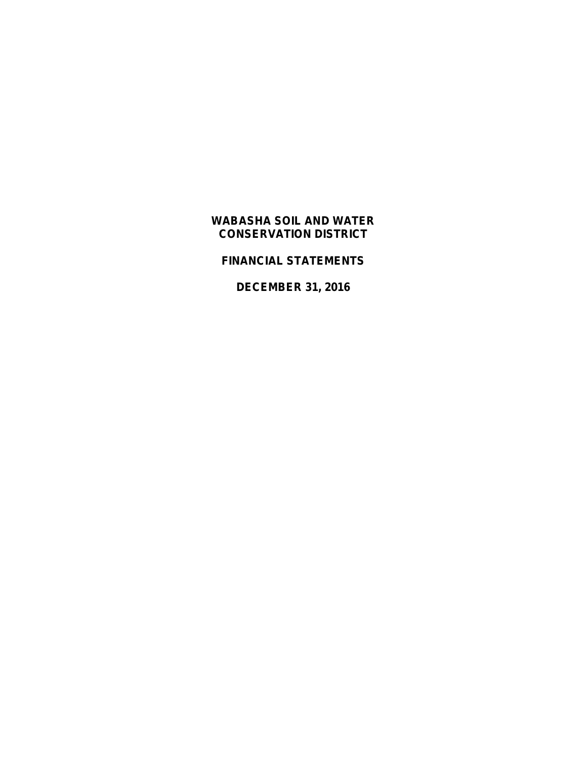# **WABASHA SOIL AND WATER CONSERVATION DISTRICT**

**FINANCIAL STATEMENTS**

**DECEMBER 31, 2016**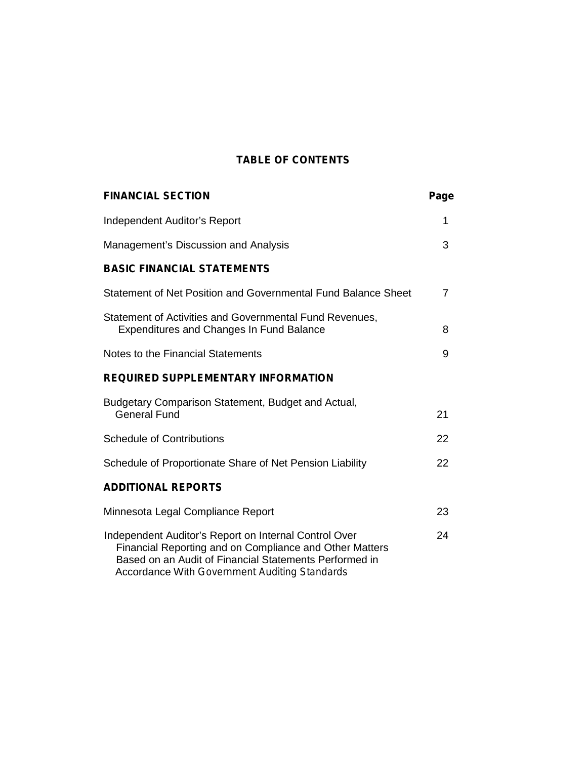# **TABLE OF CONTENTS**

| <b>FINANCIAL SECTION</b>                                                                                                                                                                                                           | Page           |  |
|------------------------------------------------------------------------------------------------------------------------------------------------------------------------------------------------------------------------------------|----------------|--|
| Independent Auditor's Report                                                                                                                                                                                                       | 1              |  |
| Management's Discussion and Analysis                                                                                                                                                                                               | 3              |  |
| <b>BASIC FINANCIAL STATEMENTS</b>                                                                                                                                                                                                  |                |  |
| Statement of Net Position and Governmental Fund Balance Sheet                                                                                                                                                                      | $\overline{7}$ |  |
| Statement of Activities and Governmental Fund Revenues,<br><b>Expenditures and Changes In Fund Balance</b>                                                                                                                         | 8              |  |
| Notes to the Financial Statements                                                                                                                                                                                                  | 9              |  |
| <b>REQUIRED SUPPLEMENTARY INFORMATION</b>                                                                                                                                                                                          |                |  |
| Budgetary Comparison Statement, Budget and Actual,<br><b>General Fund</b>                                                                                                                                                          | 21             |  |
| <b>Schedule of Contributions</b>                                                                                                                                                                                                   | 22             |  |
| Schedule of Proportionate Share of Net Pension Liability                                                                                                                                                                           | 22             |  |
| <b>ADDITIONAL REPORTS</b>                                                                                                                                                                                                          |                |  |
| Minnesota Legal Compliance Report                                                                                                                                                                                                  | 23             |  |
| Independent Auditor's Report on Internal Control Over<br>Financial Reporting and on Compliance and Other Matters<br>Based on an Audit of Financial Statements Performed in<br><b>Accordance With Government Auditing Standards</b> | 24             |  |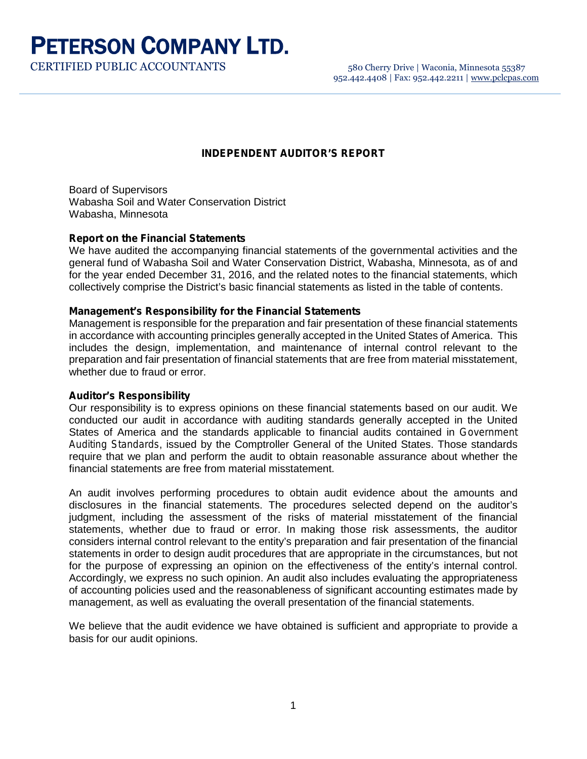# **PETERSON COMPANY LTD.**

## **INDEPENDENT AUDITOR'S REPORT**

Board of Supervisors Wabasha Soil and Water Conservation District Wabasha, Minnesota

#### **Report on the Financial Statements**

We have audited the accompanying financial statements of the governmental activities and the general fund of Wabasha Soil and Water Conservation District, Wabasha, Minnesota, as of and for the year ended December 31, 2016, and the related notes to the financial statements, which collectively comprise the District's basic financial statements as listed in the table of contents.

#### *Management's Responsibility* **for the Financial Statements**

Management is responsible for the preparation and fair presentation of these financial statements in accordance with accounting principles generally accepted in the United States of America. This includes the design, implementation, and maintenance of internal control relevant to the preparation and fair presentation of financial statements that are free from material misstatement, whether due to fraud or error.

## *Auditor's Responsibility*

Our responsibility is to express opinions on these financial statements based on our audit. We conducted our audit in accordance with auditing standards generally accepted in the United States of America and the standards applicable to financial audits contained in *Government Auditing Standards*, issued by the Comptroller General of the United States. Those standards require that we plan and perform the audit to obtain reasonable assurance about whether the financial statements are free from material misstatement.

An audit involves performing procedures to obtain audit evidence about the amounts and disclosures in the financial statements. The procedures selected depend on the auditor's judgment, including the assessment of the risks of material misstatement of the financial statements, whether due to fraud or error. In making those risk assessments, the auditor considers internal control relevant to the entity's preparation and fair presentation of the financial statements in order to design audit procedures that are appropriate in the circumstances, but not for the purpose of expressing an opinion on the effectiveness of the entity's internal control. Accordingly, we express no such opinion. An audit also includes evaluating the appropriateness of accounting policies used and the reasonableness of significant accounting estimates made by management, as well as evaluating the overall presentation of the financial statements.

We believe that the audit evidence we have obtained is sufficient and appropriate to provide a basis for our audit opinions.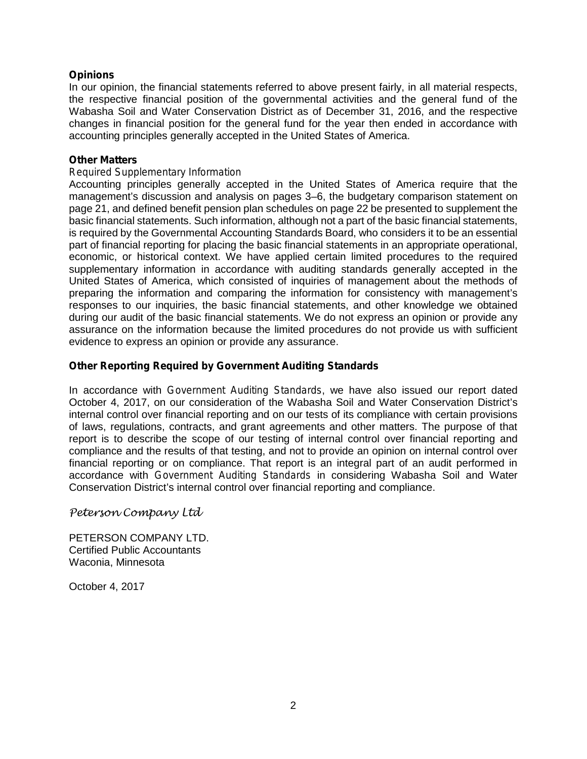#### *Opinions*

In our opinion, the financial statements referred to above present fairly, in all material respects, the respective financial position of the governmental activities and the general fund of the Wabasha Soil and Water Conservation District as of December 31, 2016, and the respective changes in financial position for the general fund for the year then ended in accordance with accounting principles generally accepted in the United States of America.

#### *Other Matters*

#### *Required Supplementary Information*

Accounting principles generally accepted in the United States of America require that the management's discussion and analysis on pages 3–6, the budgetary comparison statement on page 21, and defined benefit pension plan schedules on page 22 be presented to supplement the basic financial statements. Such information, although not a part of the basic financial statements, is required by the Governmental Accounting Standards Board, who considers it to be an essential part of financial reporting for placing the basic financial statements in an appropriate operational, economic, or historical context. We have applied certain limited procedures to the required supplementary information in accordance with auditing standards generally accepted in the United States of America, which consisted of inquiries of management about the methods of preparing the information and comparing the information for consistency with management's responses to our inquiries, the basic financial statements, and other knowledge we obtained during our audit of the basic financial statements. We do not express an opinion or provide any assurance on the information because the limited procedures do not provide us with sufficient evidence to express an opinion or provide any assurance.

#### **Other Reporting Required by Government Auditing Standards**

In accordance with *Government Auditing Standards*, we have also issued our report dated October 4, 2017, on our consideration of the Wabasha Soil and Water Conservation District's internal control over financial reporting and on our tests of its compliance with certain provisions of laws, regulations, contracts, and grant agreements and other matters. The purpose of that report is to describe the scope of our testing of internal control over financial reporting and compliance and the results of that testing, and not to provide an opinion on internal control over financial reporting or on compliance. That report is an integral part of an audit performed in accordance with *Government Auditing Standards* in considering Wabasha Soil and Water Conservation District's internal control over financial reporting and compliance.

Peterson Company Ltd

PETERSON COMPANY LTD. Certified Public Accountants Waconia, Minnesota

October 4, 2017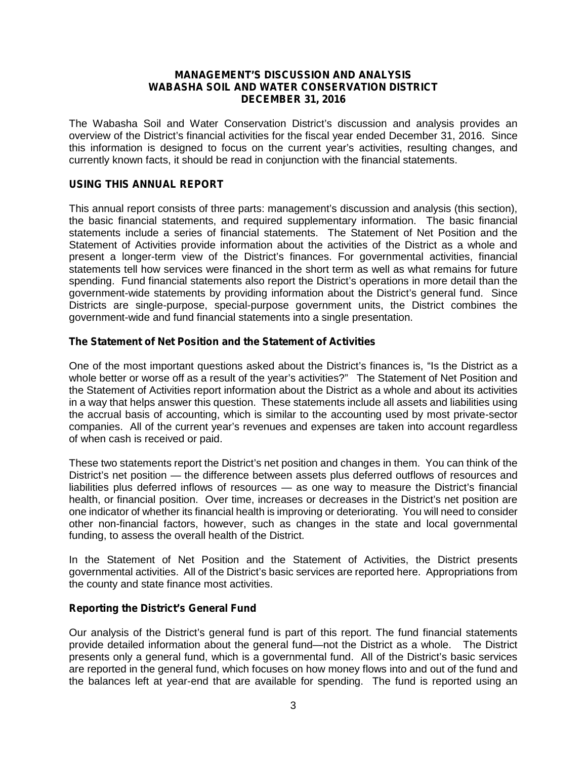#### **MANAGEMENT'S DISCUSSION AND ANALYSIS WABASHA SOIL AND WATER CONSERVATION DISTRICT DECEMBER 31, 2016**

The Wabasha Soil and Water Conservation District's discussion and analysis provides an overview of the District's financial activities for the fiscal year ended December 31, 2016. Since this information is designed to focus on the current year's activities, resulting changes, and currently known facts, it should be read in conjunction with the financial statements.

## **USING THIS ANNUAL REPORT**

This annual report consists of three parts: management's discussion and analysis (this section), the basic financial statements, and required supplementary information. The basic financial statements include a series of financial statements. The Statement of Net Position and the Statement of Activities provide information about the activities of the District as a whole and present a longer-term view of the District's finances. For governmental activities, financial statements tell how services were financed in the short term as well as what remains for future spending. Fund financial statements also report the District's operations in more detail than the government-wide statements by providing information about the District's general fund. Since Districts are single-purpose, special-purpose government units, the District combines the government-wide and fund financial statements into a single presentation.

#### **The Statement of Net Position and the Statement of Activities**

One of the most important questions asked about the District's finances is, "Is the District as a whole better or worse off as a result of the year's activities?" The Statement of Net Position and the Statement of Activities report information about the District as a whole and about its activities in a way that helps answer this question. These statements include all assets and liabilities using the accrual basis of accounting, which is similar to the accounting used by most private-sector companies. All of the current year's revenues and expenses are taken into account regardless of when cash is received or paid.

These two statements report the District's net position and changes in them. You can think of the District's net position — the difference between assets plus deferred outflows of resources and liabilities plus deferred inflows of resources — as one way to measure the District's financial health, or financial position. Over time, increases or decreases in the District's net position are one indicator of whether its financial health is improving or deteriorating. You will need to consider other non-financial factors, however, such as changes in the state and local governmental funding, to assess the overall health of the District.

In the Statement of Net Position and the Statement of Activities, the District presents governmental activities. All of the District's basic services are reported here. Appropriations from the county and state finance most activities.

#### **Reporting the District's General Fund**

Our analysis of the District's general fund is part of this report. The fund financial statements provide detailed information about the general fund—not the District as a whole. The District presents only a general fund, which is a governmental fund. All of the District's basic services are reported in the general fund, which focuses on how money flows into and out of the fund and the balances left at year-end that are available for spending. The fund is reported using an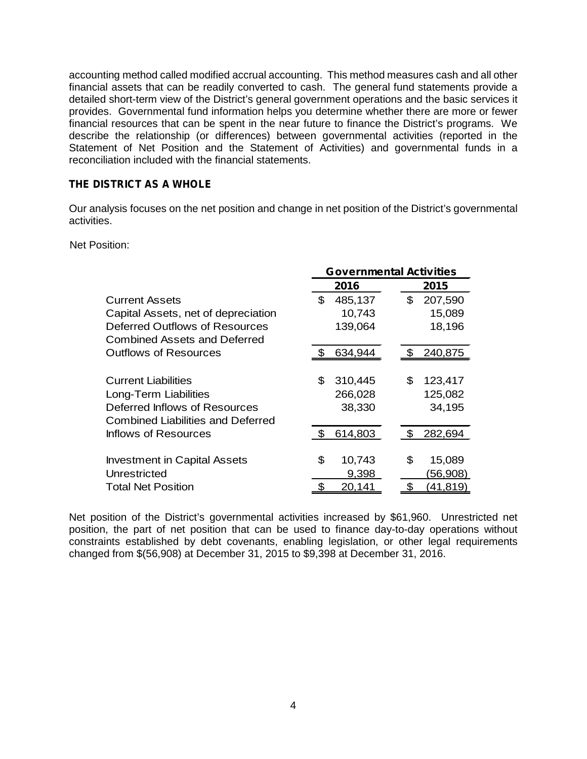accounting method called modified accrual accounting. This method measures cash and all other financial assets that can be readily converted to cash. The general fund statements provide a detailed short-term view of the District's general government operations and the basic services it provides. Governmental fund information helps you determine whether there are more or fewer financial resources that can be spent in the near future to finance the District's programs. We describe the relationship (or differences) between governmental activities (reported in the Statement of Net Position and the Statement of Activities) and governmental funds in a reconciliation included with the financial statements.

## **THE DISTRICT AS A WHOLE**

Our analysis focuses on the net position and change in net position of the District's governmental activities.

Net Position:

|                                          | <b>Governmental Activities</b> |         |  |     |           |
|------------------------------------------|--------------------------------|---------|--|-----|-----------|
|                                          |                                | 2016    |  |     | 2015      |
| <b>Current Assets</b>                    | \$                             | 485,137 |  | \$  | 207,590   |
| Capital Assets, net of depreciation      |                                | 10,743  |  |     | 15,089    |
| Deferred Outflows of Resources           |                                | 139,064 |  |     | 18,196    |
| <b>Combined Assets and Deferred</b>      |                                |         |  |     |           |
| <b>Outflows of Resources</b>             |                                | 634,944 |  | \$. | 240,875   |
|                                          |                                |         |  |     |           |
| <b>Current Liabilities</b>               | \$                             | 310,445 |  | \$  | 123,417   |
| Long-Term Liabilities                    |                                | 266,028 |  |     | 125,082   |
| Deferred Inflows of Resources            |                                | 38,330  |  |     | 34,195    |
| <b>Combined Liabilities and Deferred</b> |                                |         |  |     |           |
| Inflows of Resources                     | \$                             | 614,803 |  | \$  | 282,694   |
|                                          |                                |         |  |     |           |
| <b>Investment in Capital Assets</b>      | \$                             | 10,743  |  | \$  | 15,089    |
| Unrestricted                             |                                | 9,398   |  |     | (56,908)  |
| <b>Total Net Position</b>                |                                | 20,141  |  | \$  | (41, 819) |

Net position of the District's governmental activities increased by \$61,960. Unrestricted net position, the part of net position that can be used to finance day-to-day operations without constraints established by debt covenants, enabling legislation, or other legal requirements changed from \$(56,908) at December 31, 2015 to \$9,398 at December 31, 2016.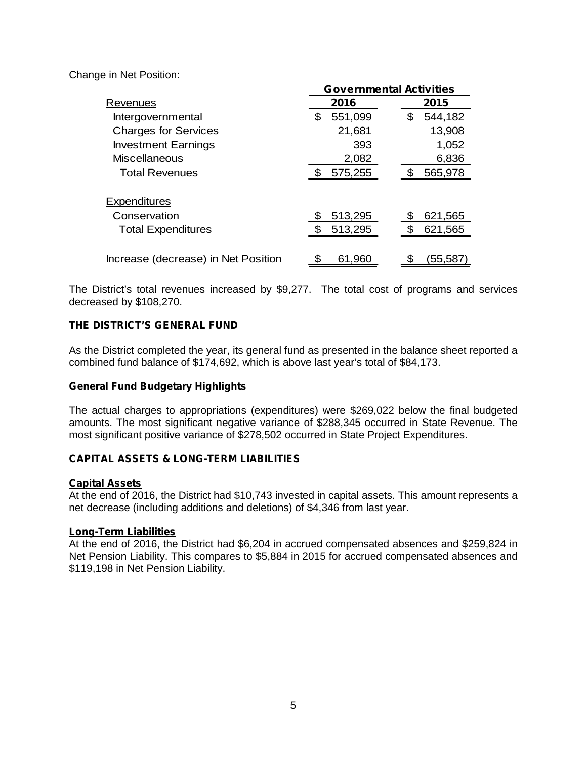Change in Net Position:

|                                     | <b>Governmental Activities</b> |               |  |  |  |
|-------------------------------------|--------------------------------|---------------|--|--|--|
| Revenues                            | 2016                           | 2015          |  |  |  |
| Intergovernmental                   | 551,099<br>S                   | \$<br>544,182 |  |  |  |
| <b>Charges for Services</b>         | 21,681                         | 13,908        |  |  |  |
| <b>Investment Earnings</b>          | 393                            | 1,052         |  |  |  |
| <b>Miscellaneous</b>                | 2,082                          | 6,836         |  |  |  |
| <b>Total Revenues</b>               | 575,255                        | 565,978<br>S. |  |  |  |
| <b>Expenditures</b>                 |                                |               |  |  |  |
| Conservation                        | 513,295                        | 621,565<br>\$ |  |  |  |
| <b>Total Expenditures</b>           | 513,295                        | 621,565       |  |  |  |
| Increase (decrease) in Net Position | 61,960                         | \$<br>55,587) |  |  |  |

The District's total revenues increased by \$9,277. The total cost of programs and services decreased by \$108,270.

## **THE DISTRICT'S GENERAL FUND**

As the District completed the year, its general fund as presented in the balance sheet reported a combined fund balance of \$174,692, which is above last year's total of \$84,173.

## **General Fund Budgetary Highlights**

The actual charges to appropriations (expenditures) were \$269,022 below the final budgeted amounts. The most significant negative variance of \$288,345 occurred in State Revenue. The most significant positive variance of \$278,502 occurred in State Project Expenditures.

## **CAPITAL ASSETS & LONG-TERM LIABILITIES**

#### **Capital Assets**

At the end of 2016, the District had \$10,743 invested in capital assets. This amount represents a net decrease (including additions and deletions) of \$4,346 from last year.

#### **Long-Term Liabilities**

At the end of 2016, the District had \$6,204 in accrued compensated absences and \$259,824 in Net Pension Liability. This compares to \$5,884 in 2015 for accrued compensated absences and \$119,198 in Net Pension Liability.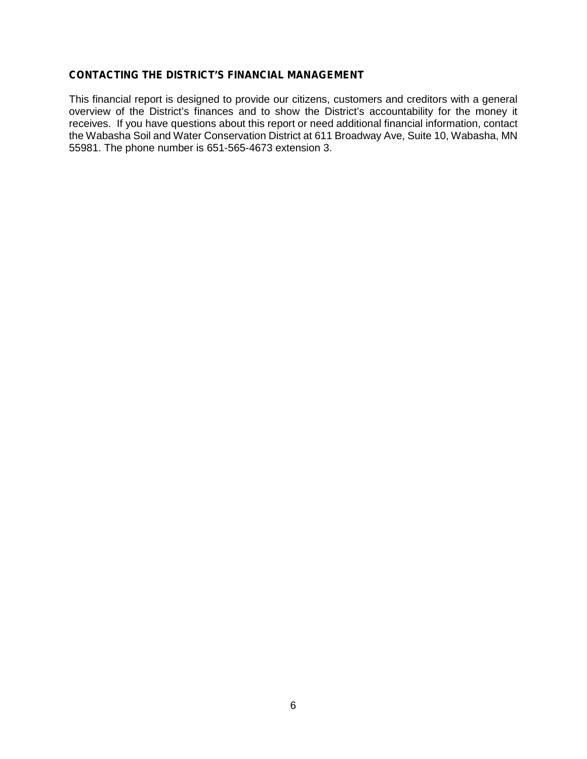## **CONTACTING THE DISTRICT'S FINANCIAL MANAGEMENT**

This financial report is designed to provide our citizens, customers and creditors with a general overview of the District's finances and to show the District's accountability for the money it receives. If you have questions about this report or need additional financial information, contact the Wabasha Soil and Water Conservation District at 611 Broadway Ave, Suite 10, Wabasha, MN 55981. The phone number is 651-565-4673 extension 3.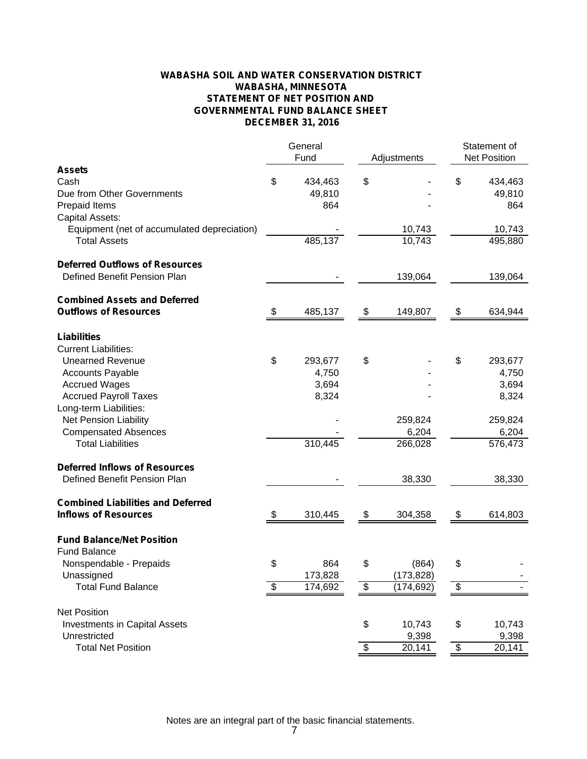#### **WABASHA SOIL AND WATER CONSERVATION DISTRICT WABASHA, MINNESOTA STATEMENT OF NET POSITION AND GOVERNMENTAL FUND BALANCE SHEET DECEMBER 31, 2016**

|                                                         | General<br>Fund |         |                         | Adjustments |                         | Statement of<br><b>Net Position</b> |
|---------------------------------------------------------|-----------------|---------|-------------------------|-------------|-------------------------|-------------------------------------|
| <b>Assets</b>                                           |                 |         |                         |             |                         |                                     |
| Cash                                                    | \$              | 434,463 | \$                      |             | \$                      | 434,463                             |
| Due from Other Governments                              |                 | 49,810  |                         |             |                         | 49,810                              |
| Prepaid Items                                           |                 | 864     |                         |             |                         | 864                                 |
| Capital Assets:                                         |                 |         |                         |             |                         |                                     |
| Equipment (net of accumulated depreciation)             |                 |         |                         | 10,743      |                         | 10,743                              |
| <b>Total Assets</b>                                     |                 | 485,137 |                         | 10,743      |                         | 495,880                             |
| <b>Deferred Outflows of Resources</b>                   |                 |         |                         |             |                         |                                     |
| Defined Benefit Pension Plan                            |                 |         |                         | 139,064     |                         | 139,064                             |
| <b>Combined Assets and Deferred</b>                     |                 |         |                         |             |                         |                                     |
| <b>Outflows of Resources</b>                            | \$              | 485,137 | \$                      | 149,807     | \$                      | 634,944                             |
| <b>Liabilities</b>                                      |                 |         |                         |             |                         |                                     |
| <b>Current Liabilities:</b>                             |                 |         |                         |             |                         |                                     |
| <b>Unearned Revenue</b>                                 | \$              | 293,677 | \$                      |             | \$                      | 293,677                             |
| <b>Accounts Payable</b>                                 |                 | 4,750   |                         |             |                         | 4,750                               |
| <b>Accrued Wages</b>                                    |                 | 3,694   |                         |             |                         | 3,694                               |
| <b>Accrued Payroll Taxes</b>                            |                 | 8,324   |                         |             |                         | 8,324                               |
| Long-term Liabilities:                                  |                 |         |                         |             |                         |                                     |
| Net Pension Liability                                   |                 |         |                         | 259,824     |                         | 259,824                             |
| <b>Compensated Absences</b>                             |                 |         |                         | 6,204       |                         | 6,204                               |
| <b>Total Liabilities</b>                                |                 | 310,445 |                         | 266,028     |                         | 576,473                             |
| <b>Deferred Inflows of Resources</b>                    |                 |         |                         |             |                         |                                     |
| Defined Benefit Pension Plan                            |                 |         |                         | 38,330      |                         | 38,330                              |
| <b>Combined Liabilities and Deferred</b>                |                 |         |                         |             |                         |                                     |
| <b>Inflows of Resources</b>                             | \$              | 310,445 | \$                      | 304,358     | \$                      | 614,803                             |
| <b>Fund Balance/Net Position</b><br><b>Fund Balance</b> |                 |         |                         |             |                         |                                     |
| Nonspendable - Prepaids                                 | \$              | 864     | \$                      | (864)       | \$                      |                                     |
| Unassigned                                              |                 | 173,828 |                         | (173, 828)  |                         |                                     |
| <b>Total Fund Balance</b>                               | \$              | 174,692 | $\overline{\mathbf{e}}$ | (174, 692)  | $\overline{\mathbf{e}}$ |                                     |
| <b>Net Position</b>                                     |                 |         |                         |             |                         |                                     |
| <b>Investments in Capital Assets</b>                    |                 |         | \$                      | 10,743      | \$                      | 10,743                              |
| Unrestricted                                            |                 |         |                         | 9,398       |                         | 9,398                               |
| <b>Total Net Position</b>                               |                 |         | \$                      | 20,141      | $\overline{\mathbf{e}}$ | 20,141                              |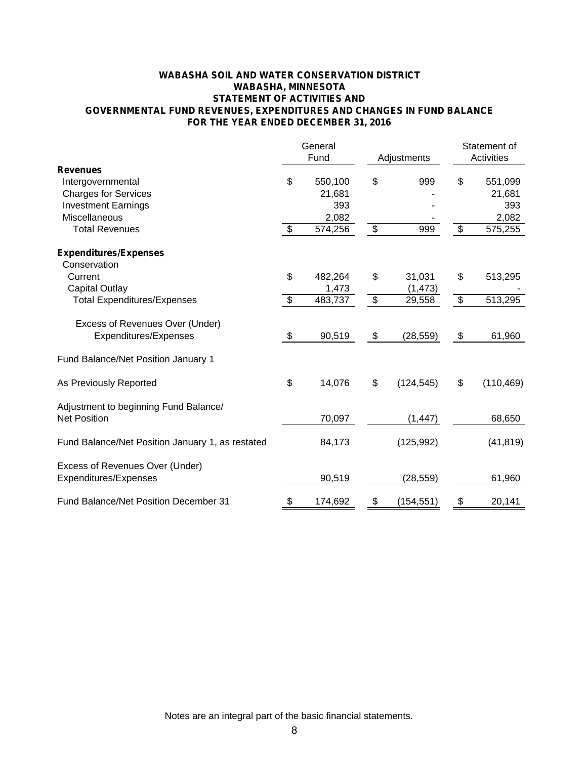#### **WABASHA SOIL AND WATER CONSERVATION DISTRICT WABASHA, MINNESOTA STATEMENT OF ACTIVITIES AND GOVERNMENTAL FUND REVENUES, EXPENDITURES AND CHANGES IN FUND BALANCE FOR THE YEAR ENDED DECEMBER 31, 2016**

|                                                  | General<br>Fund            |         |                         | Adjustments | Statement of<br>Activities |            |  |
|--------------------------------------------------|----------------------------|---------|-------------------------|-------------|----------------------------|------------|--|
| <b>Revenues</b>                                  |                            |         |                         |             |                            |            |  |
| Intergovernmental                                | \$                         | 550,100 | \$                      | 999         | \$                         | 551,099    |  |
| <b>Charges for Services</b>                      |                            | 21,681  |                         |             |                            | 21,681     |  |
| <b>Investment Earnings</b>                       |                            | 393     |                         |             |                            | 393        |  |
| Miscellaneous                                    |                            | 2,082   |                         |             |                            | 2,082      |  |
| <b>Total Revenues</b>                            | $\frac{1}{2}$              | 574,256 | $\overline{\mathbf{S}}$ | 999         | $\overline{\mathcal{L}}$   | 575,255    |  |
| <b>Expenditures/Expenses</b>                     |                            |         |                         |             |                            |            |  |
| Conservation                                     |                            |         |                         |             |                            |            |  |
| Current                                          | \$                         | 482,264 | \$                      | 31,031      | \$                         | 513,295    |  |
| <b>Capital Outlay</b>                            |                            | 1,473   |                         | (1, 473)    |                            |            |  |
| <b>Total Expenditures/Expenses</b>               | \$                         | 483,737 | $\frac{1}{2}$           | 29,558      | $\overline{\mathbf{3}}$    | 513,295    |  |
| Excess of Revenues Over (Under)                  |                            |         |                         |             |                            |            |  |
| Expenditures/Expenses                            | $\boldsymbol{\mathsf{\$}}$ | 90,519  | \$                      | (28, 559)   | $\boldsymbol{\mathsf{S}}$  | 61,960     |  |
| Fund Balance/Net Position January 1              |                            |         |                         |             |                            |            |  |
| As Previously Reported                           | \$                         | 14,076  | \$                      | (124, 545)  | \$                         | (110, 469) |  |
| Adjustment to beginning Fund Balance/            |                            |         |                         |             |                            |            |  |
| <b>Net Position</b>                              |                            | 70,097  |                         | (1, 447)    |                            | 68,650     |  |
| Fund Balance/Net Position January 1, as restated |                            | 84,173  |                         | (125, 992)  |                            | (41, 819)  |  |
| Excess of Revenues Over (Under)                  |                            |         |                         |             |                            |            |  |
| Expenditures/Expenses                            |                            | 90,519  |                         | (28, 559)   |                            | 61,960     |  |
| Fund Balance/Net Position December 31            | \$                         | 174,692 | \$                      | (154, 551)  | \$                         | 20,141     |  |

Notes are an integral part of the basic financial statements.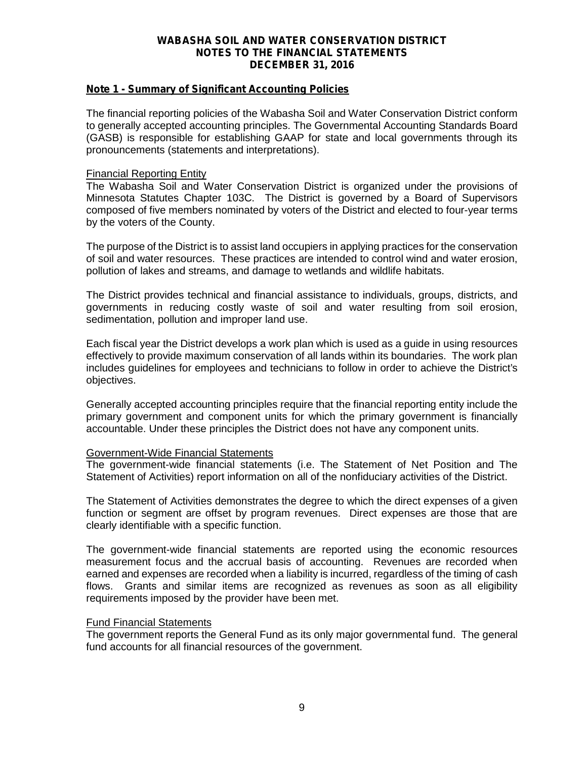#### **Note 1 - Summary of Significant Accounting Policies**

The financial reporting policies of the Wabasha Soil and Water Conservation District conform to generally accepted accounting principles. The Governmental Accounting Standards Board (GASB) is responsible for establishing GAAP for state and local governments through its pronouncements (statements and interpretations).

#### Financial Reporting Entity

The Wabasha Soil and Water Conservation District is organized under the provisions of Minnesota Statutes Chapter 103C. The District is governed by a Board of Supervisors composed of five members nominated by voters of the District and elected to four-year terms by the voters of the County.

The purpose of the District is to assist land occupiers in applying practices for the conservation of soil and water resources. These practices are intended to control wind and water erosion, pollution of lakes and streams, and damage to wetlands and wildlife habitats.

The District provides technical and financial assistance to individuals, groups, districts, and governments in reducing costly waste of soil and water resulting from soil erosion, sedimentation, pollution and improper land use.

Each fiscal year the District develops a work plan which is used as a guide in using resources effectively to provide maximum conservation of all lands within its boundaries. The work plan includes guidelines for employees and technicians to follow in order to achieve the District's objectives.

Generally accepted accounting principles require that the financial reporting entity include the primary government and component units for which the primary government is financially accountable. Under these principles the District does not have any component units.

#### Government-Wide Financial Statements

The government-wide financial statements (i.e. The Statement of Net Position and The Statement of Activities) report information on all of the nonfiduciary activities of the District.

The Statement of Activities demonstrates the degree to which the direct expenses of a given function or segment are offset by program revenues. Direct expenses are those that are clearly identifiable with a specific function.

The government-wide financial statements are reported using the economic resources measurement focus and the accrual basis of accounting. Revenues are recorded when earned and expenses are recorded when a liability is incurred, regardless of the timing of cash flows. Grants and similar items are recognized as revenues as soon as all eligibility requirements imposed by the provider have been met.

#### Fund Financial Statements

The government reports the General Fund as its only major governmental fund. The general fund accounts for all financial resources of the government.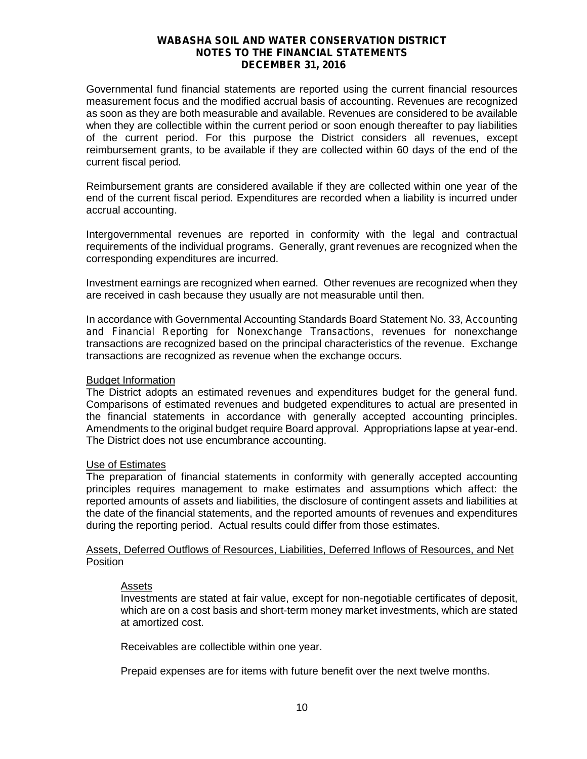Governmental fund financial statements are reported using the current financial resources measurement focus and the modified accrual basis of accounting. Revenues are recognized as soon as they are both measurable and available. Revenues are considered to be available when they are collectible within the current period or soon enough thereafter to pay liabilities of the current period. For this purpose the District considers all revenues, except reimbursement grants, to be available if they are collected within 60 days of the end of the current fiscal period.

Reimbursement grants are considered available if they are collected within one year of the end of the current fiscal period. Expenditures are recorded when a liability is incurred under accrual accounting.

Intergovernmental revenues are reported in conformity with the legal and contractual requirements of the individual programs. Generally, grant revenues are recognized when the corresponding expenditures are incurred.

Investment earnings are recognized when earned. Other revenues are recognized when they are received in cash because they usually are not measurable until then.

In accordance with Governmental Accounting Standards Board Statement No. 33, *Accounting and Financial Reporting for Nonexchange Transactions*, revenues for nonexchange transactions are recognized based on the principal characteristics of the revenue. Exchange transactions are recognized as revenue when the exchange occurs.

#### Budget Information

The District adopts an estimated revenues and expenditures budget for the general fund. Comparisons of estimated revenues and budgeted expenditures to actual are presented in the financial statements in accordance with generally accepted accounting principles. Amendments to the original budget require Board approval. Appropriations lapse at year-end. The District does not use encumbrance accounting.

#### Use of Estimates

The preparation of financial statements in conformity with generally accepted accounting principles requires management to make estimates and assumptions which affect: the reported amounts of assets and liabilities, the disclosure of contingent assets and liabilities at the date of the financial statements, and the reported amounts of revenues and expenditures during the reporting period. Actual results could differ from those estimates.

#### Assets, Deferred Outflows of Resources, Liabilities, Deferred Inflows of Resources, and Net Position

#### Assets

Investments are stated at fair value, except for non-negotiable certificates of deposit, which are on a cost basis and short-term money market investments, which are stated at amortized cost.

Receivables are collectible within one year.

Prepaid expenses are for items with future benefit over the next twelve months.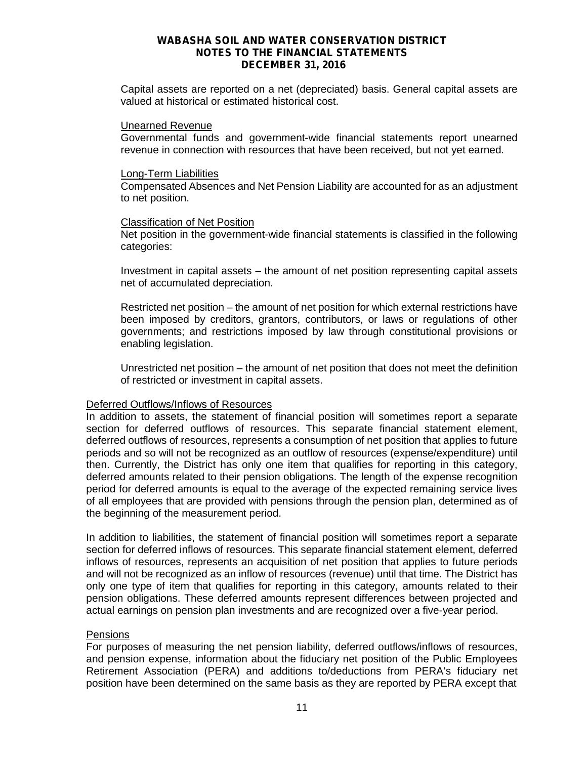Capital assets are reported on a net (depreciated) basis. General capital assets are valued at historical or estimated historical cost.

#### Unearned Revenue

Governmental funds and government-wide financial statements report unearned revenue in connection with resources that have been received, but not yet earned.

#### Long-Term Liabilities

Compensated Absences and Net Pension Liability are accounted for as an adjustment to net position.

#### Classification of Net Position

Net position in the government-wide financial statements is classified in the following categories:

Investment in capital assets – the amount of net position representing capital assets net of accumulated depreciation.

Restricted net position – the amount of net position for which external restrictions have been imposed by creditors, grantors, contributors, or laws or regulations of other governments; and restrictions imposed by law through constitutional provisions or enabling legislation.

Unrestricted net position – the amount of net position that does not meet the definition of restricted or investment in capital assets.

#### Deferred Outflows/Inflows of Resources

In addition to assets, the statement of financial position will sometimes report a separate section for deferred outflows of resources. This separate financial statement element, deferred outflows of resources, represents a consumption of net position that applies to future periods and so will not be recognized as an outflow of resources (expense/expenditure) until then. Currently, the District has only one item that qualifies for reporting in this category, deferred amounts related to their pension obligations. The length of the expense recognition period for deferred amounts is equal to the average of the expected remaining service lives of all employees that are provided with pensions through the pension plan, determined as of the beginning of the measurement period.

In addition to liabilities, the statement of financial position will sometimes report a separate section for deferred inflows of resources. This separate financial statement element, deferred inflows of resources, represents an acquisition of net position that applies to future periods and will not be recognized as an inflow of resources (revenue) until that time. The District has only one type of item that qualifies for reporting in this category, amounts related to their pension obligations. These deferred amounts represent differences between projected and actual earnings on pension plan investments and are recognized over a five-year period.

#### Pensions

For purposes of measuring the net pension liability, deferred outflows/inflows of resources, and pension expense, information about the fiduciary net position of the Public Employees Retirement Association (PERA) and additions to/deductions from PERA's fiduciary net position have been determined on the same basis as they are reported by PERA except that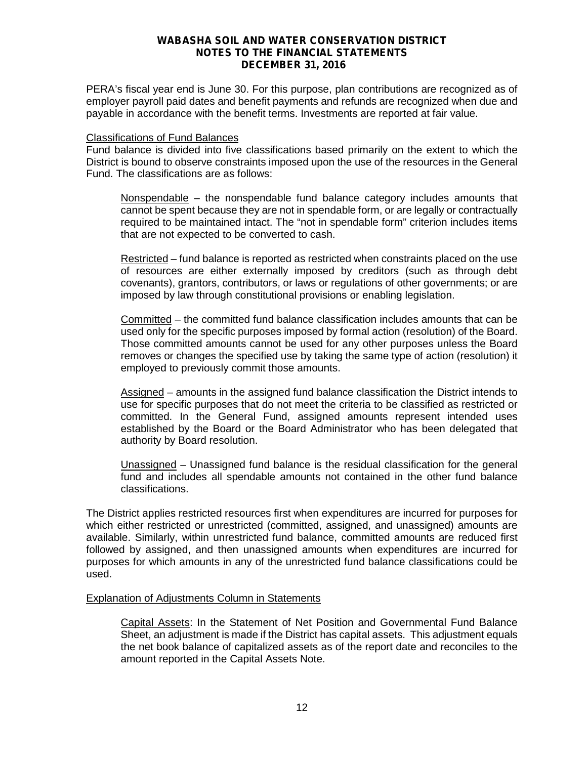PERA's fiscal year end is June 30. For this purpose, plan contributions are recognized as of employer payroll paid dates and benefit payments and refunds are recognized when due and payable in accordance with the benefit terms. Investments are reported at fair value.

#### Classifications of Fund Balances

Fund balance is divided into five classifications based primarily on the extent to which the District is bound to observe constraints imposed upon the use of the resources in the General Fund. The classifications are as follows:

Nonspendable – the nonspendable fund balance category includes amounts that cannot be spent because they are not in spendable form, or are legally or contractually required to be maintained intact. The "not in spendable form" criterion includes items that are not expected to be converted to cash.

Restricted – fund balance is reported as restricted when constraints placed on the use of resources are either externally imposed by creditors (such as through debt covenants), grantors, contributors, or laws or regulations of other governments; or are imposed by law through constitutional provisions or enabling legislation.

Committed – the committed fund balance classification includes amounts that can be used only for the specific purposes imposed by formal action (resolution) of the Board. Those committed amounts cannot be used for any other purposes unless the Board removes or changes the specified use by taking the same type of action (resolution) it employed to previously commit those amounts.

Assigned – amounts in the assigned fund balance classification the District intends to use for specific purposes that do not meet the criteria to be classified as restricted or committed. In the General Fund, assigned amounts represent intended uses established by the Board or the Board Administrator who has been delegated that authority by Board resolution.

Unassigned – Unassigned fund balance is the residual classification for the general fund and includes all spendable amounts not contained in the other fund balance classifications.

The District applies restricted resources first when expenditures are incurred for purposes for which either restricted or unrestricted (committed, assigned, and unassigned) amounts are available. Similarly, within unrestricted fund balance, committed amounts are reduced first followed by assigned, and then unassigned amounts when expenditures are incurred for purposes for which amounts in any of the unrestricted fund balance classifications could be used.

## Explanation of Adjustments Column in Statements

Capital Assets: In the Statement of Net Position and Governmental Fund Balance Sheet, an adjustment is made if the District has capital assets. This adjustment equals the net book balance of capitalized assets as of the report date and reconciles to the amount reported in the Capital Assets Note.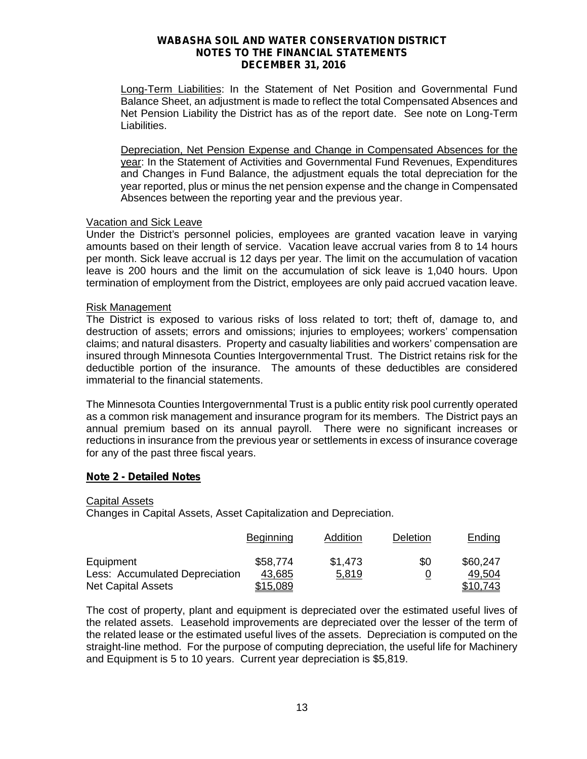Long-Term Liabilities: In the Statement of Net Position and Governmental Fund Balance Sheet, an adjustment is made to reflect the total Compensated Absences and Net Pension Liability the District has as of the report date. See note on Long-Term Liabilities.

Depreciation, Net Pension Expense and Change in Compensated Absences for the year: In the Statement of Activities and Governmental Fund Revenues, Expenditures and Changes in Fund Balance, the adjustment equals the total depreciation for the year reported, plus or minus the net pension expense and the change in Compensated Absences between the reporting year and the previous year.

#### Vacation and Sick Leave

Under the District's personnel policies, employees are granted vacation leave in varying amounts based on their length of service. Vacation leave accrual varies from 8 to 14 hours per month. Sick leave accrual is 12 days per year. The limit on the accumulation of vacation leave is 200 hours and the limit on the accumulation of sick leave is 1,040 hours. Upon termination of employment from the District, employees are only paid accrued vacation leave.

#### Risk Management

The District is exposed to various risks of loss related to tort; theft of, damage to, and destruction of assets; errors and omissions; injuries to employees; workers' compensation claims; and natural disasters. Property and casualty liabilities and workers' compensation are insured through Minnesota Counties Intergovernmental Trust. The District retains risk for the deductible portion of the insurance. The amounts of these deductibles are considered immaterial to the financial statements.

The Minnesota Counties Intergovernmental Trust is a public entity risk pool currently operated as a common risk management and insurance program for its members. The District pays an annual premium based on its annual payroll. There were no significant increases or reductions in insurance from the previous year or settlements in excess of insurance coverage for any of the past three fiscal years.

## **Note 2 - Detailed Notes**

Capital Assets

Changes in Capital Assets, Asset Capitalization and Depreciation.

|                                | <b>Beginning</b> | Addition | Deletion | Ending   |  |
|--------------------------------|------------------|----------|----------|----------|--|
| Equipment                      | \$58,774         | \$1.473  | \$0      | \$60,247 |  |
| Less: Accumulated Depreciation | 43,685           | 5,819    |          | 49,504   |  |
| <b>Net Capital Assets</b>      | \$15,089         |          |          | \$10,743 |  |

The cost of property, plant and equipment is depreciated over the estimated useful lives of the related assets. Leasehold improvements are depreciated over the lesser of the term of the related lease or the estimated useful lives of the assets. Depreciation is computed on the straight-line method. For the purpose of computing depreciation, the useful life for Machinery and Equipment is 5 to 10 years. Current year depreciation is \$5,819.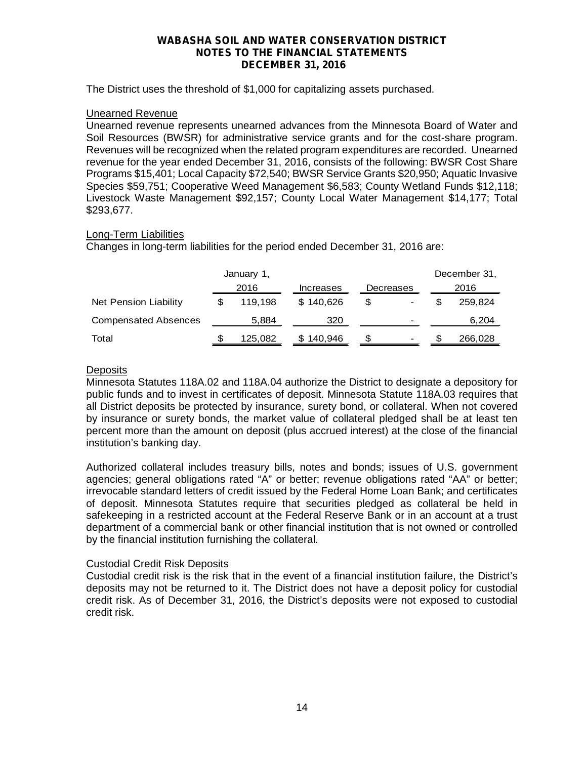The District uses the threshold of \$1,000 for capitalizing assets purchased.

#### Unearned Revenue

Unearned revenue represents unearned advances from the Minnesota Board of Water and Soil Resources (BWSR) for administrative service grants and for the cost-share program. Revenues will be recognized when the related program expenditures are recorded. Unearned revenue for the year ended December 31, 2016, consists of the following: BWSR Cost Share Programs \$15,401; Local Capacity \$72,540; BWSR Service Grants \$20,950; Aquatic Invasive Species \$59,751; Cooperative Weed Management \$6,583; County Wetland Funds \$12,118; Livestock Waste Management \$92,157; County Local Water Management \$14,177; Total \$293,677.

## Long-Term Liabilities

Changes in long-term liabilities for the period ended December 31, 2016 are:

|                             | January 1, |           |                | December 31, |
|-----------------------------|------------|-----------|----------------|--------------|
|                             | 2016       | Increases | Decreases      | 2016         |
| Net Pension Liability       | 119.198    | \$140,626 |                | 259.824      |
| <b>Compensated Absences</b> | 5.884      | 320       |                | 6,204        |
| Total                       | 125,082    | \$140,946 | $\blacksquare$ | 266,028      |

#### **Deposits**

Minnesota Statutes 118A.02 and 118A.04 authorize the District to designate a depository for public funds and to invest in certificates of deposit. Minnesota Statute 118A.03 requires that all District deposits be protected by insurance, surety bond, or collateral. When not covered by insurance or surety bonds, the market value of collateral pledged shall be at least ten percent more than the amount on deposit (plus accrued interest) at the close of the financial institution's banking day.

Authorized collateral includes treasury bills, notes and bonds; issues of U.S. government agencies; general obligations rated "A" or better; revenue obligations rated "AA" or better; irrevocable standard letters of credit issued by the Federal Home Loan Bank; and certificates of deposit. Minnesota Statutes require that securities pledged as collateral be held in safekeeping in a restricted account at the Federal Reserve Bank or in an account at a trust department of a commercial bank or other financial institution that is not owned or controlled by the financial institution furnishing the collateral.

#### Custodial Credit Risk Deposits

Custodial credit risk is the risk that in the event of a financial institution failure, the District's deposits may not be returned to it. The District does not have a deposit policy for custodial credit risk. As of December 31, 2016, the District's deposits were not exposed to custodial credit risk.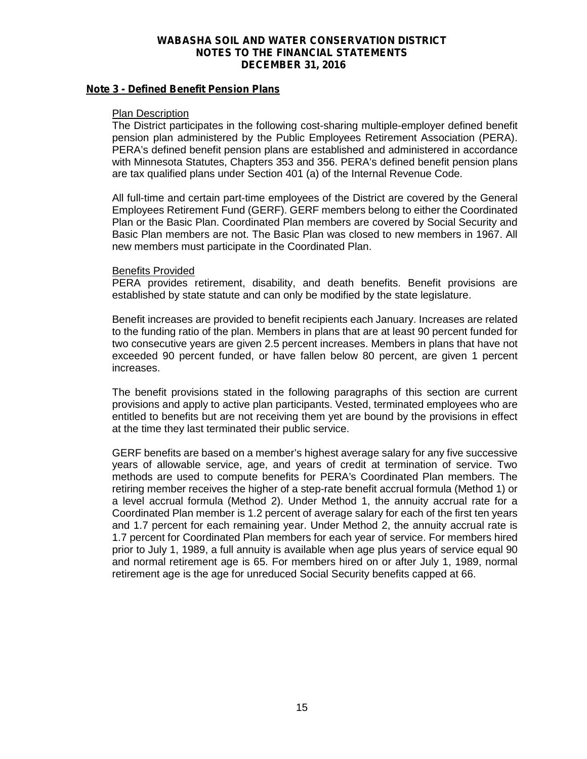#### **Note 3 - Defined Benefit Pension Plans**

#### Plan Description

The District participates in the following cost-sharing multiple-employer defined benefit pension plan administered by the Public Employees Retirement Association (PERA). PERA's defined benefit pension plans are established and administered in accordance with Minnesota Statutes, Chapters 353 and 356. PERA's defined benefit pension plans are tax qualified plans under Section 401 (a) of the Internal Revenue Code.

All full-time and certain part-time employees of the District are covered by the General Employees Retirement Fund (GERF). GERF members belong to either the Coordinated Plan or the Basic Plan. Coordinated Plan members are covered by Social Security and Basic Plan members are not. The Basic Plan was closed to new members in 1967. All new members must participate in the Coordinated Plan.

#### Benefits Provided

PERA provides retirement, disability, and death benefits. Benefit provisions are established by state statute and can only be modified by the state legislature.

Benefit increases are provided to benefit recipients each January. Increases are related to the funding ratio of the plan. Members in plans that are at least 90 percent funded for two consecutive years are given 2.5 percent increases. Members in plans that have not exceeded 90 percent funded, or have fallen below 80 percent, are given 1 percent increases.

The benefit provisions stated in the following paragraphs of this section are current provisions and apply to active plan participants. Vested, terminated employees who are entitled to benefits but are not receiving them yet are bound by the provisions in effect at the time they last terminated their public service.

GERF benefits are based on a member's highest average salary for any five successive years of allowable service, age, and years of credit at termination of service. Two methods are used to compute benefits for PERA's Coordinated Plan members. The retiring member receives the higher of a step-rate benefit accrual formula (Method 1) or a level accrual formula (Method 2). Under Method 1, the annuity accrual rate for a Coordinated Plan member is 1.2 percent of average salary for each of the first ten years and 1.7 percent for each remaining year. Under Method 2, the annuity accrual rate is 1.7 percent for Coordinated Plan members for each year of service. For members hired prior to July 1, 1989, a full annuity is available when age plus years of service equal 90 and normal retirement age is 65. For members hired on or after July 1, 1989, normal retirement age is the age for unreduced Social Security benefits capped at 66.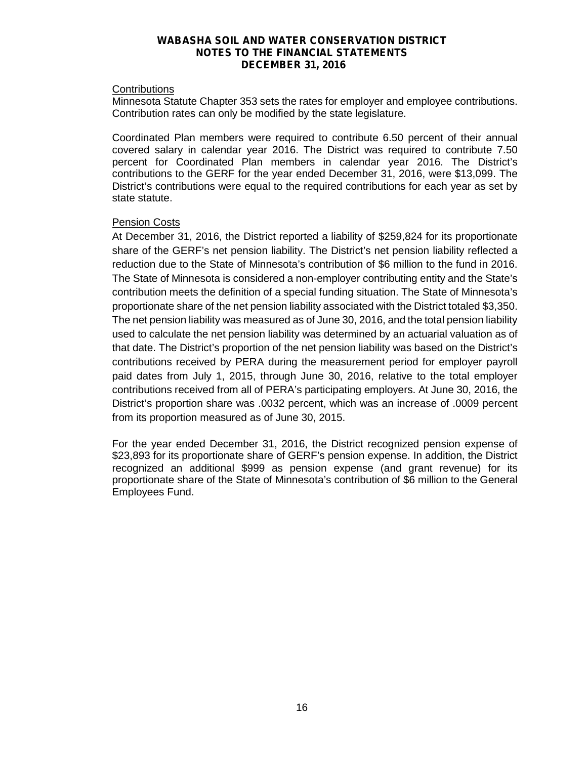#### **Contributions**

Minnesota Statute Chapter 353 sets the rates for employer and employee contributions. Contribution rates can only be modified by the state legislature.

Coordinated Plan members were required to contribute 6.50 percent of their annual covered salary in calendar year 2016. The District was required to contribute 7.50 percent for Coordinated Plan members in calendar year 2016. The District's contributions to the GERF for the year ended December 31, 2016, were \$13,099. The District's contributions were equal to the required contributions for each year as set by state statute.

#### Pension Costs

At December 31, 2016, the District reported a liability of \$259,824 for its proportionate share of the GERF's net pension liability. The District's net pension liability reflected a reduction due to the State of Minnesota's contribution of \$6 million to the fund in 2016. The State of Minnesota is considered a non-employer contributing entity and the State's contribution meets the definition of a special funding situation. The State of Minnesota's proportionate share of the net pension liability associated with the District totaled \$3,350. The net pension liability was measured as of June 30, 2016, and the total pension liability used to calculate the net pension liability was determined by an actuarial valuation as of that date. The District's proportion of the net pension liability was based on the District's contributions received by PERA during the measurement period for employer payroll paid dates from July 1, 2015, through June 30, 2016, relative to the total employer contributions received from all of PERA's participating employers. At June 30, 2016, the District's proportion share was .0032 percent, which was an increase of .0009 percent from its proportion measured as of June 30, 2015.

For the year ended December 31, 2016, the District recognized pension expense of \$23,893 for its proportionate share of GERF's pension expense. In addition, the District recognized an additional \$999 as pension expense (and grant revenue) for its proportionate share of the State of Minnesota's contribution of \$6 million to the General Employees Fund.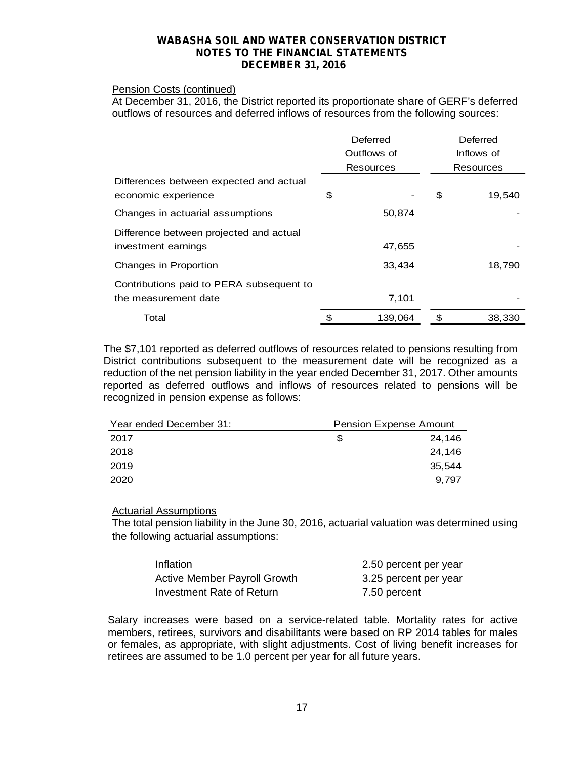#### Pension Costs (continued)

At December 31, 2016, the District reported its proportionate share of GERF's deferred outflows of resources and deferred inflows of resources from the following sources:

|                                                                  | Deferred    | Deferred   |           |
|------------------------------------------------------------------|-------------|------------|-----------|
|                                                                  | Outflows of | Inflows of |           |
|                                                                  | Resources   |            | Resources |
| Differences between expected and actual<br>economic experience   | \$          | \$         | 19,540    |
| Changes in actuarial assumptions                                 | 50,874      |            |           |
| Difference between projected and actual<br>investment earnings   | 47.655      |            |           |
| Changes in Proportion                                            | 33,434      |            | 18,790    |
| Contributions paid to PERA subsequent to<br>the measurement date | 7,101       |            |           |
| Total                                                            | 139,064     |            | 38,330    |

The \$7,101 reported as deferred outflows of resources related to pensions resulting from District contributions subsequent to the measurement date will be recognized as a reduction of the net pension liability in the year ended December 31, 2017. Other amounts reported as deferred outflows and inflows of resources related to pensions will be recognized in pension expense as follows:

| Year ended December 31: |   | <b>Pension Expense Amount</b> |
|-------------------------|---|-------------------------------|
| 2017                    | S | 24,146                        |
| 2018                    |   | 24.146                        |
| 2019                    |   | 35,544                        |
| 2020                    |   | 9.797                         |

#### Actuarial Assumptions

The total pension liability in the June 30, 2016, actuarial valuation was determined using the following actuarial assumptions:

| Inflation                           | 2.50 percent per year |
|-------------------------------------|-----------------------|
| <b>Active Member Payroll Growth</b> | 3.25 percent per year |
| Investment Rate of Return           | 7.50 percent          |

Salary increases were based on a service-related table. Mortality rates for active members, retirees, survivors and disabilitants were based on RP 2014 tables for males or females, as appropriate, with slight adjustments. Cost of living benefit increases for retirees are assumed to be 1.0 percent per year for all future years.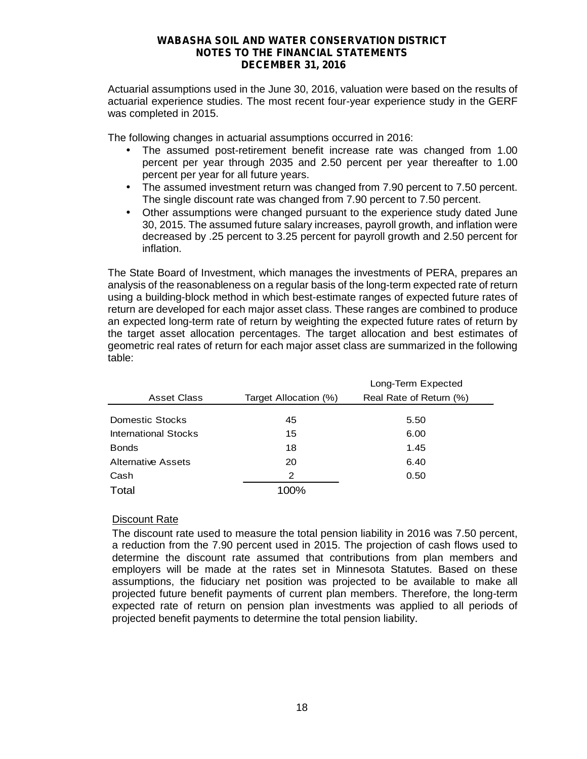Actuarial assumptions used in the June 30, 2016, valuation were based on the results of actuarial experience studies. The most recent four-year experience study in the GERF was completed in 2015.

The following changes in actuarial assumptions occurred in 2016:

- The assumed post-retirement benefit increase rate was changed from 1.00 percent per year through 2035 and 2.50 percent per year thereafter to 1.00 percent per year for all future years.
- The assumed investment return was changed from 7.90 percent to 7.50 percent. The single discount rate was changed from 7.90 percent to 7.50 percent.
- Other assumptions were changed pursuant to the experience study dated June 30, 2015. The assumed future salary increases, payroll growth, and inflation were decreased by .25 percent to 3.25 percent for payroll growth and 2.50 percent for inflation.

The State Board of Investment, which manages the investments of PERA, prepares an analysis of the reasonableness on a regular basis of the long-term expected rate of return using a building-block method in which best-estimate ranges of expected future rates of return are developed for each major asset class. These ranges are combined to produce an expected long-term rate of return by weighting the expected future rates of return by the target asset allocation percentages. The target allocation and best estimates of geometric real rates of return for each major asset class are summarized in the following table:

|                           |                       | Long-Term Expected      |
|---------------------------|-----------------------|-------------------------|
| Asset Class               | Target Allocation (%) | Real Rate of Return (%) |
| Domestic Stocks           | 45                    | 5.50                    |
| International Stocks      | 15                    | 6.00                    |
| <b>Bonds</b>              | 18                    | 1.45                    |
| <b>Alternative Assets</b> | 20                    | 6.40                    |
| Cash                      | 2                     | 0.50                    |
| Total                     | 100%                  |                         |

## Discount Rate

The discount rate used to measure the total pension liability in 2016 was 7.50 percent, a reduction from the 7.90 percent used in 2015. The projection of cash flows used to determine the discount rate assumed that contributions from plan members and employers will be made at the rates set in Minnesota Statutes. Based on these assumptions, the fiduciary net position was projected to be available to make all projected future benefit payments of current plan members. Therefore, the long-term expected rate of return on pension plan investments was applied to all periods of projected benefit payments to determine the total pension liability.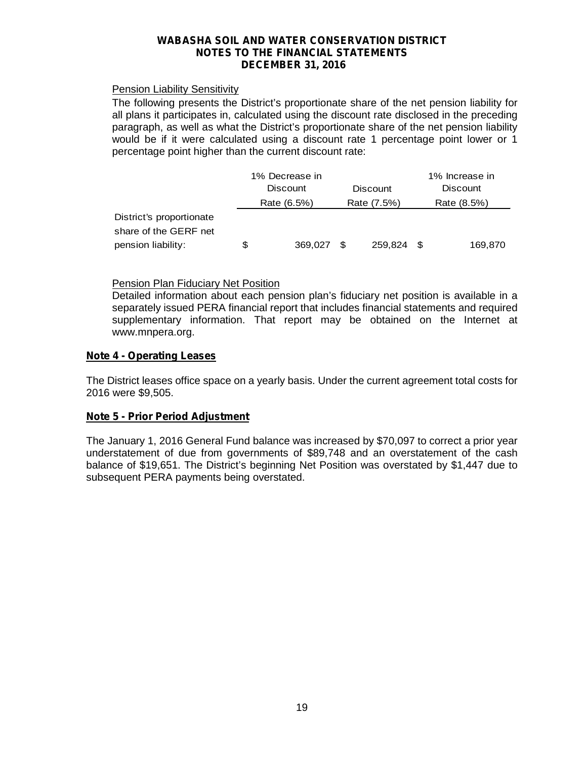#### **Pension Liability Sensitivity**

The following presents the District's proportionate share of the net pension liability for all plans it participates in, calculated using the discount rate disclosed in the preceding paragraph, as well as what the District's proportionate share of the net pension liability would be if it were calculated using a discount rate 1 percentage point lower or 1 percentage point higher than the current discount rate:

|                          | 1% Decrease in<br><b>Discount</b> | <b>Discount</b> |      | 1% Increase in<br><b>Discount</b> |
|--------------------------|-----------------------------------|-----------------|------|-----------------------------------|
|                          | Rate (6.5%)                       | Rate (7.5%)     |      | Rate (8.5%)                       |
| District's proportionate |                                   |                 |      |                                   |
| share of the GERF net    |                                   |                 |      |                                   |
| pension liability:       | \$<br>369,027                     | 259.824         | - \$ | 169,870                           |

#### Pension Plan Fiduciary Net Position

Detailed information about each pension plan's fiduciary net position is available in a separately issued PERA financial report that includes financial statements and required supplementary information. That report may be obtained on the Internet at www.mnpera.org.

#### **Note 4 - Operating Leases**

The District leases office space on a yearly basis. Under the current agreement total costs for 2016 were \$9,505.

#### **Note 5 - Prior Period Adjustment**

The January 1, 2016 General Fund balance was increased by \$70,097 to correct a prior year understatement of due from governments of \$89,748 and an overstatement of the cash balance of \$19,651. The District's beginning Net Position was overstated by \$1,447 due to subsequent PERA payments being overstated.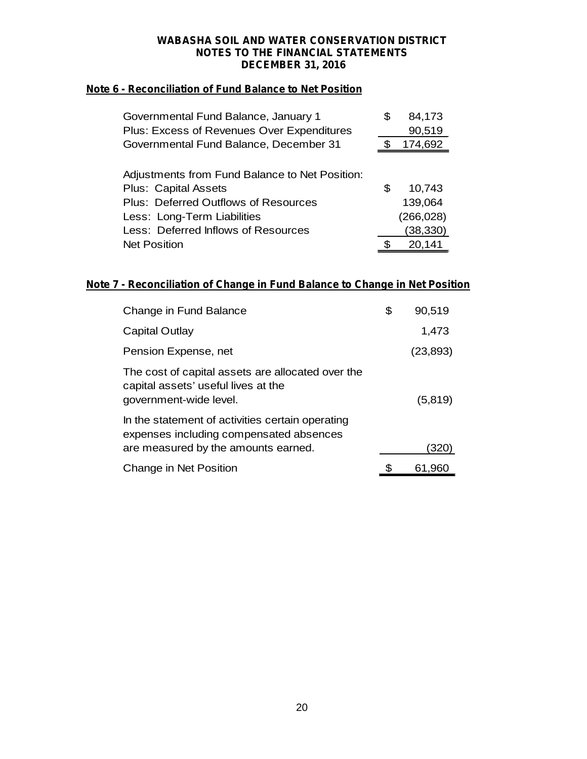## **Note 6 - Reconciliation of Fund Balance to Net Position**

| Governmental Fund Balance, January 1           | \$ | 84,173     |
|------------------------------------------------|----|------------|
| Plus: Excess of Revenues Over Expenditures     |    | 90,519     |
| Governmental Fund Balance, December 31         |    | 174,692    |
|                                                |    |            |
| Adjustments from Fund Balance to Net Position: |    |            |
| <b>Plus: Capital Assets</b>                    | S  | 10,743     |
| Plus: Deferred Outflows of Resources           |    | 139,064    |
| Less: Long-Term Liabilities                    |    | (266, 028) |
| Less: Deferred Inflows of Resources            |    | (38,330)   |
| <b>Net Position</b>                            |    | 20,141     |

# **Note 7 - Reconciliation of Change in Fund Balance to Change in Net Position**

| Change in Fund Balance                                                                                                             | \$<br>90,519 |
|------------------------------------------------------------------------------------------------------------------------------------|--------------|
| Capital Outlay                                                                                                                     | 1,473        |
| Pension Expense, net                                                                                                               | (23, 893)    |
| The cost of capital assets are allocated over the<br>capital assets' useful lives at the<br>government-wide level.                 | (5,819)      |
| In the statement of activities certain operating<br>expenses including compensated absences<br>are measured by the amounts earned. | (320)        |
| Change in Net Position                                                                                                             | 61,960       |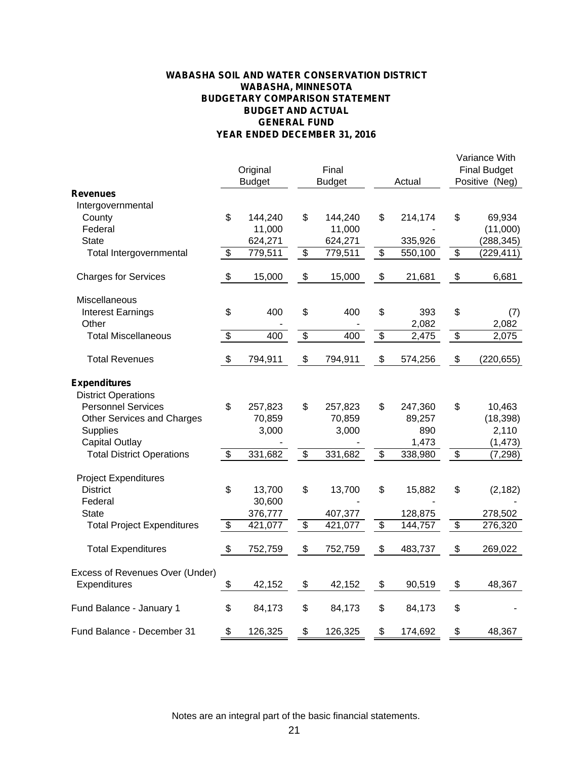#### **WABASHA SOIL AND WATER CONSERVATION DISTRICT WABASHA, MINNESOTA BUDGETARY COMPARISON STATEMENT BUDGET AND ACTUAL GENERAL FUND YEAR ENDED DECEMBER 31, 2016**

|                                   | Original<br><b>Budget</b> |         |                           | Final<br><b>Budget</b> | Actual                    |                    | Variance With<br><b>Final Budget</b><br>Positive (Neg) |            |  |
|-----------------------------------|---------------------------|---------|---------------------------|------------------------|---------------------------|--------------------|--------------------------------------------------------|------------|--|
| <b>Revenues</b>                   |                           |         |                           |                        |                           |                    |                                                        |            |  |
| Intergovernmental                 |                           |         |                           |                        |                           |                    |                                                        |            |  |
| County                            | \$                        | 144,240 | \$                        | 144,240                | \$                        | 214,174            | \$                                                     | 69,934     |  |
| Federal                           |                           | 11,000  |                           | 11,000                 |                           |                    |                                                        | (11,000)   |  |
| State                             |                           | 624,271 |                           | 624,271                |                           | 335,926            |                                                        | (288, 345) |  |
| Total Intergovernmental           | $\overline{\$}$           | 779,511 | $\overline{\$}$           | 779,511                | $\overline{\$}$           | 550,100            | $\overline{\$}$                                        | (229, 411) |  |
| <b>Charges for Services</b>       | $\sqrt[6]{3}$             | 15,000  | \$                        | 15,000                 | $\boldsymbol{\mathsf{S}}$ | 21,681             | \$                                                     | 6,681      |  |
| Miscellaneous                     |                           |         |                           |                        |                           |                    |                                                        |            |  |
| <b>Interest Earnings</b>          | \$                        | 400     | \$                        | 400                    | \$                        | 393                | \$                                                     | (7)        |  |
| Other                             |                           |         |                           |                        |                           | 2,082              |                                                        | 2,082      |  |
| <b>Total Miscellaneous</b>        | $\overline{\mathcal{L}}$  | 400     | $\overline{\mathcal{E}}$  | 400                    | $\overline{\mathcal{L}}$  | $\overline{2,}475$ | $\overline{\$}$                                        | 2,075      |  |
| <b>Total Revenues</b>             | $\boldsymbol{\mathsf{S}}$ | 794,911 | $\boldsymbol{\$}$         | 794,911                | \$                        | 574,256            | \$                                                     | (220, 655) |  |
| <b>Expenditures</b>               |                           |         |                           |                        |                           |                    |                                                        |            |  |
| <b>District Operations</b>        |                           |         |                           |                        |                           |                    |                                                        |            |  |
| <b>Personnel Services</b>         | \$                        | 257,823 | \$                        | 257,823                | \$                        | 247,360            | \$                                                     | 10,463     |  |
| <b>Other Services and Charges</b> |                           | 70,859  |                           | 70,859                 |                           | 89,257             |                                                        | (18, 398)  |  |
| Supplies                          |                           | 3,000   |                           | 3,000                  |                           | 890                |                                                        | 2,110      |  |
| <b>Capital Outlay</b>             |                           |         |                           |                        |                           | 1,473              |                                                        | (1, 473)   |  |
| <b>Total District Operations</b>  | $\overline{\$}$           | 331,682 | $\overline{\$}$           | 331,682                | $\overline{\$}$           | 338,980            | $\overline{\$}$                                        | (7, 298)   |  |
| <b>Project Expenditures</b>       |                           |         |                           |                        |                           |                    |                                                        |            |  |
| <b>District</b>                   | \$                        | 13,700  | \$                        | 13,700                 | \$                        | 15,882             | \$                                                     | (2, 182)   |  |
| Federal                           |                           | 30,600  |                           |                        |                           |                    |                                                        |            |  |
| <b>State</b>                      |                           | 376,777 |                           | 407,377                |                           | 128,875            |                                                        | 278,502    |  |
| <b>Total Project Expenditures</b> | $\overline{\$}$           | 421,077 | $\overline{\$}$           | 421,077                | $\overline{\$}$           | 144,757            | $\overline{\$}$                                        | 276,320    |  |
| <b>Total Expenditures</b>         | $\boldsymbol{\mathsf{S}}$ | 752,759 | \$                        | 752,759                | $\boldsymbol{\theta}$     | 483,737            | \$                                                     | 269,022    |  |
| Excess of Revenues Over (Under)   |                           |         |                           |                        |                           |                    |                                                        |            |  |
| Expenditures                      | \$                        | 42,152  | $\boldsymbol{\mathsf{S}}$ | 42,152                 | \$                        | 90,519             | \$                                                     | 48,367     |  |
| Fund Balance - January 1          | \$                        | 84,173  | \$                        | 84,173                 | \$                        | 84,173             | \$                                                     |            |  |
| Fund Balance - December 31        | \$                        | 126,325 | \$                        | 126,325                | \$                        | 174,692            | \$                                                     | 48,367     |  |

Notes are an integral part of the basic financial statements.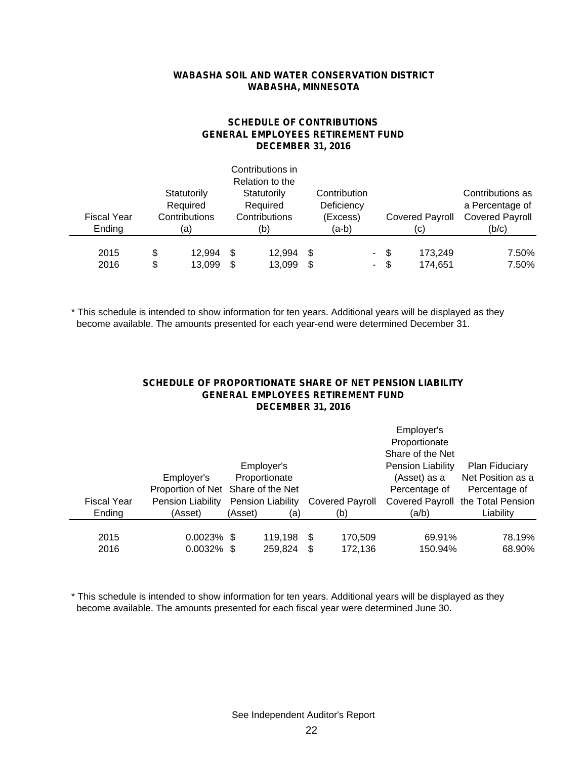#### **WABASHA SOIL AND WATER CONSERVATION DISTRICT WABASHA, MINNESOTA**

#### **SCHEDULE OF CONTRIBUTIONS GENERAL EMPLOYEES RETIREMENT FUND DECEMBER 31, 2016**

|                    |    |                                          |    | Contributions in<br>Relation to the      |                                                   |  |                          |     |                        |                                                                        |  |
|--------------------|----|------------------------------------------|----|------------------------------------------|---------------------------------------------------|--|--------------------------|-----|------------------------|------------------------------------------------------------------------|--|
| <b>Fiscal Year</b> |    | Statutorily<br>Required<br>Contributions |    | Statutorily<br>Required<br>Contributions | Contribution<br>Deficiency<br>(Excess)<br>$(a-b)$ |  |                          |     | <b>Covered Payroll</b> | Contributions as<br>a Percentage of<br><b>Covered Payroll</b><br>(b/c) |  |
| Ending             |    | (a)<br>(b)                               |    |                                          |                                                   |  |                          |     | (c)                    |                                                                        |  |
| 2015               | \$ | 12,994                                   | \$ | 12.994                                   | \$                                                |  | $\overline{\phantom{a}}$ | -\$ | 173.249                | 7.50%                                                                  |  |
| 2016               | \$ | 13,099                                   |    | 13,099                                   | \$                                                |  | $\sim$ $-$               | \$  | 174,651                | 7.50%                                                                  |  |

\* This schedule is intended to show information for ten years. Additional years will be displayed as they become available. The amounts presented for each year-end were determined December 31.

#### **SCHEDULE OF PROPORTIONATE SHARE OF NET PENSION LIABILITY GENERAL EMPLOYEES RETIREMENT FUND DECEMBER 31, 2016**

|                    |                                    |         |                          |      |                 | Employer's               |                                   |
|--------------------|------------------------------------|---------|--------------------------|------|-----------------|--------------------------|-----------------------------------|
|                    |                                    |         |                          |      |                 | Proportionate            |                                   |
|                    |                                    |         |                          |      |                 | Share of the Net         |                                   |
|                    |                                    |         | Employer's               |      |                 | <b>Pension Liability</b> | <b>Plan Fiduciary</b>             |
|                    | Employer's                         |         | Proportionate            |      |                 | (Asset) as a             | Net Position as a                 |
|                    | Proportion of Net Share of the Net |         |                          |      |                 | Percentage of            | Percentage of                     |
| <b>Fiscal Year</b> | Pension Liability                  |         | <b>Pension Liability</b> |      | Covered Payroll |                          | Covered Payroll the Total Pension |
| Ending             | (Asset)                            | (Asset) | (a)                      |      | (b)             | (a/b)                    | Liability                         |
|                    |                                    |         |                          |      |                 |                          |                                   |
| 2015               | $0.0023\%$ \$                      |         | 119,198                  | - \$ | 170,509         | 69.91%                   | 78.19%                            |
| 2016               | $0.0032\%$ \$                      |         | 259,824                  | S    | 172.136         | 150.94%                  | 68.90%                            |

\* This schedule is intended to show information for ten years. Additional years will be displayed as they become available. The amounts presented for each fiscal year were determined June 30.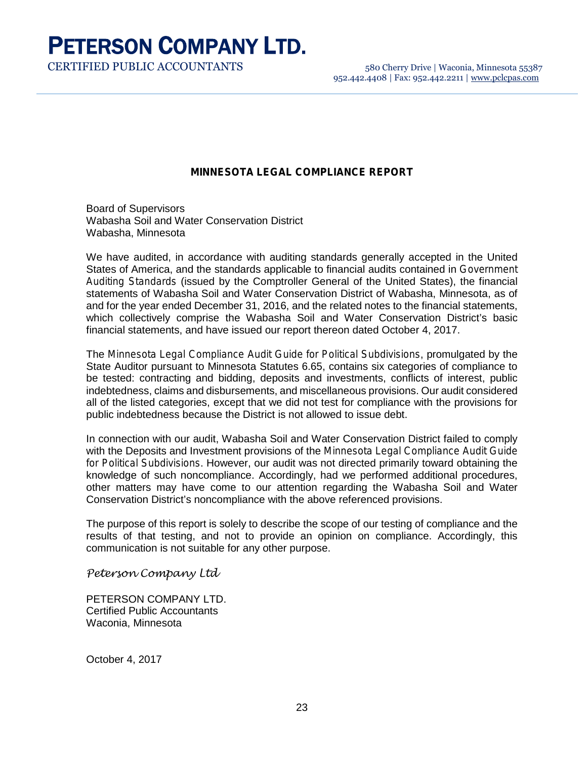# **PETERSON COMPANY LTD.**

## **MINNESOTA LEGAL COMPLIANCE REPORT**

Board of Supervisors Wabasha Soil and Water Conservation District Wabasha, Minnesota

We have audited, in accordance with auditing standards generally accepted in the United States of America, and the standards applicable to financial audits contained in *Government Auditing Standards* (issued by the Comptroller General of the United States), the financial statements of Wabasha Soil and Water Conservation District of Wabasha, Minnesota, as of and for the year ended December 31, 2016, and the related notes to the financial statements, which collectively comprise the Wabasha Soil and Water Conservation District's basic financial statements, and have issued our report thereon dated October 4, 2017.

The *Minnesota Legal Compliance Audit Guide for Political Subdivisions*, promulgated by the State Auditor pursuant to Minnesota Statutes 6.65, contains six categories of compliance to be tested: contracting and bidding, deposits and investments, conflicts of interest, public indebtedness, claims and disbursements, and miscellaneous provisions. Our audit considered all of the listed categories, except that we did not test for compliance with the provisions for public indebtedness because the District is not allowed to issue debt.

In connection with our audit, Wabasha Soil and Water Conservation District failed to comply with the Deposits and Investment provisions of the *Minnesota Legal Compliance Audit Guide for Political Subdivisions*. However, our audit was not directed primarily toward obtaining the knowledge of such noncompliance. Accordingly, had we performed additional procedures, other matters may have come to our attention regarding the Wabasha Soil and Water Conservation District's noncompliance with the above referenced provisions.

The purpose of this report is solely to describe the scope of our testing of compliance and the results of that testing, and not to provide an opinion on compliance. Accordingly, this communication is not suitable for any other purpose.

Peterson Company Ltd

PETERSON COMPANY LTD. Certified Public Accountants Waconia, Minnesota

October 4, 2017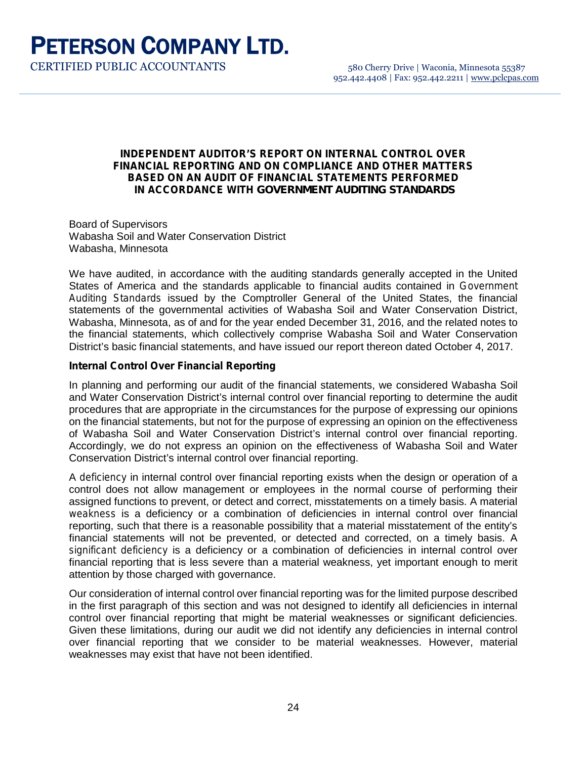# **PETERSON COMPANY LTD.**

#### **INDEPENDENT AUDITOR'S REPORT ON INTERNAL CONTROL OVER FINANCIAL REPORTING AND ON COMPLIANCE AND OTHER MATTERS BASED ON AN AUDIT OF FINANCIAL STATEMENTS PERFORMED IN ACCORDANCE WITH** *GOVERNMENT AUDITING STANDARDS*

Board of Supervisors Wabasha Soil and Water Conservation District Wabasha, Minnesota

We have audited, in accordance with the auditing standards generally accepted in the United States of America and the standards applicable to financial audits contained in *Government Auditing Standards* issued by the Comptroller General of the United States, the financial statements of the governmental activities of Wabasha Soil and Water Conservation District, Wabasha, Minnesota, as of and for the year ended December 31, 2016, and the related notes to the financial statements, which collectively comprise Wabasha Soil and Water Conservation District's basic financial statements, and have issued our report thereon dated October 4, 2017.

#### **Internal Control Over Financial Reporting**

In planning and performing our audit of the financial statements, we considered Wabasha Soil and Water Conservation District's internal control over financial reporting to determine the audit procedures that are appropriate in the circumstances for the purpose of expressing our opinions on the financial statements, but not for the purpose of expressing an opinion on the effectiveness of Wabasha Soil and Water Conservation District's internal control over financial reporting. Accordingly, we do not express an opinion on the effectiveness of Wabasha Soil and Water Conservation District's internal control over financial reporting.

A *deficiency* in internal control over financial reporting exists when the design or operation of a control does not allow management or employees in the normal course of performing their assigned functions to prevent, or detect and correct, misstatements on a timely basis. A material *weakness* is a deficiency or a combination of deficiencies in internal control over financial reporting, such that there is a reasonable possibility that a material misstatement of the entity's financial statements will not be prevented, or detected and corrected, on a timely basis. A *significant deficiency* is a deficiency or a combination of deficiencies in internal control over financial reporting that is less severe than a material weakness, yet important enough to merit attention by those charged with governance.

Our consideration of internal control over financial reporting was for the limited purpose described in the first paragraph of this section and was not designed to identify all deficiencies in internal control over financial reporting that might be material weaknesses or significant deficiencies. Given these limitations, during our audit we did not identify any deficiencies in internal control over financial reporting that we consider to be material weaknesses. However, material weaknesses may exist that have not been identified.